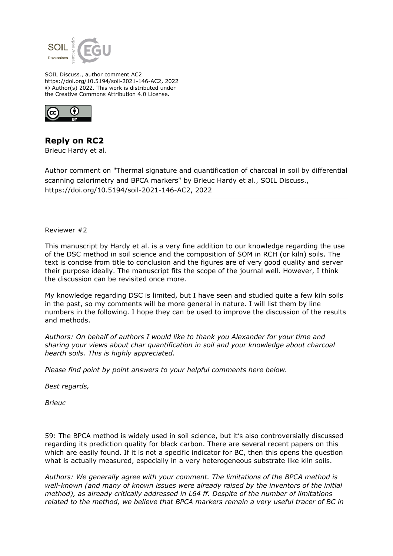

SOIL Discuss., author comment AC2 https://doi.org/10.5194/soil-2021-146-AC2, 2022 © Author(s) 2022. This work is distributed under the Creative Commons Attribution 4.0 License.



## **Reply on RC2**

Brieuc Hardy et al.

Author comment on "Thermal signature and quantification of charcoal in soil by differential scanning calorimetry and BPCA markers" by Brieuc Hardy et al., SOIL Discuss., https://doi.org/10.5194/soil-2021-146-AC2, 2022

Reviewer #2

This manuscript by Hardy et al. is a very fine addition to our knowledge regarding the use of the DSC method in soil science and the composition of SOM in RCH (or kiln) soils. The text is concise from title to conclusion and the figures are of very good quality and server their purpose ideally. The manuscript fits the scope of the journal well. However, I think the discussion can be revisited once more.

My knowledge regarding DSC is limited, but I have seen and studied quite a few kiln soils in the past, so my comments will be more general in nature. I will list them by line numbers in the following. I hope they can be used to improve the discussion of the results and methods.

*Authors: On behalf of authors I would like to thank you Alexander for your time and sharing your views about char quantification in soil and your knowledge about charcoal hearth soils. This is highly appreciated.*

*Please find point by point answers to your helpful comments here below.*

*Best regards,*

*Brieuc*

59: The BPCA method is widely used in soil science, but it's also controversially discussed regarding its prediction quality for black carbon. There are several recent papers on this which are easily found. If it is not a specific indicator for BC, then this opens the question what is actually measured, especially in a very heterogeneous substrate like kiln soils.

*Authors: We generally agree with your comment. The limitations of the BPCA method is well-known (and many of known issues were already raised by the inventors of the initial method), as already critically addressed in L64 ff. Despite of the number of limitations related to the method, we believe that BPCA markers remain a very useful tracer of BC in*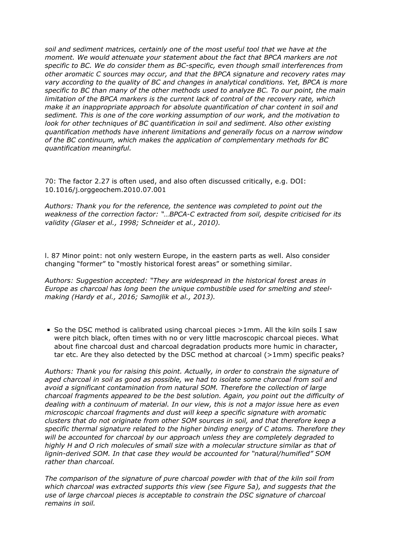*soil and sediment matrices, certainly one of the most useful tool that we have at the moment. We would attenuate your statement about the fact that BPCA markers are not specific to BC. We do consider them as BC-specific, even though small interferences from other aromatic C sources may occur, and that the BPCA signature and recovery rates may vary according to the quality of BC and changes in analytical conditions. Yet, BPCA is more specific to BC than many of the other methods used to analyze BC. To our point, the main limitation of the BPCA markers is the current lack of control of the recovery rate, which make it an inappropriate approach for absolute quantification of char content in soil and sediment. This is one of the core working assumption of our work, and the motivation to look for other techniques of BC quantification in soil and sediment. Also other existing quantification methods have inherent limitations and generally focus on a narrow window of the BC continuum, which makes the application of complementary methods for BC quantification meaningful.*

70: The factor 2.27 is often used, and also often discussed critically, e.g. DOI: 10.1016/j.orggeochem.2010.07.001

*Authors: Thank you for the reference, the sentence was completed to point out the weakness of the correction factor: "…BPCA-C extracted from soil, despite criticised for its validity (Glaser et al., 1998; Schneider et al., 2010).*

l. 87 Minor point: not only western Europe, in the eastern parts as well. Also consider changing "former" to "mostly historical forest areas" or something similar.

*Authors: Suggestion accepted: "They are widespread in the historical forest areas in Europe as charcoal has long been the unique combustible used for smelting and steelmaking (Hardy et al., 2016; Samojlik et al., 2013).*

So the DSC method is calibrated using charcoal pieces  $>1$ mm. All the kiln soils I saw were pitch black, often times with no or very little macroscopic charcoal pieces. What about fine charcoal dust and charcoal degradation products more humic in character, tar etc. Are they also detected by the DSC method at charcoal (>1mm) specific peaks?

*Authors: Thank you for raising this point. Actually, in order to constrain the signature of aged charcoal in soil as good as possible, we had to isolate some charcoal from soil and avoid a significant contamination from natural SOM. Therefore the collection of large charcoal fragments appeared to be the best solution. Again, you point out the difficulty of dealing with a continuum of material. In our view, this is not a major issue here as even microscopic charcoal fragments and dust will keep a specific signature with aromatic clusters that do not originate from other SOM sources in soil, and that therefore keep a specific thermal signature related to the higher binding energy of C atoms. Therefore they will be accounted for charcoal by our approach unless they are completely degraded to highly H and O rich molecules of small size with a molecular structure similar as that of lignin-derived SOM. In that case they would be accounted for "natural/humified" SOM rather than charcoal.*

*The comparison of the signature of pure charcoal powder with that of the kiln soil from which charcoal was extracted supports this view (see Figure 5a), and suggests that the use of large charcoal pieces is acceptable to constrain the DSC signature of charcoal remains in soil.*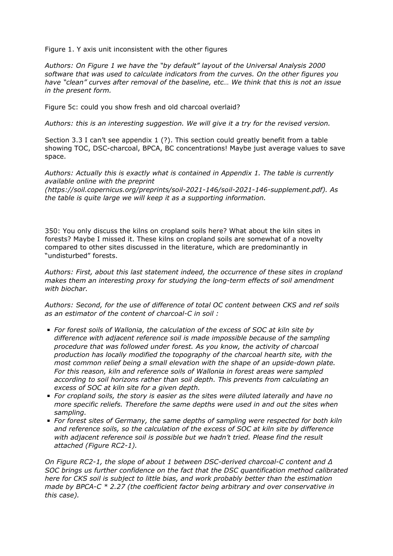Figure 1. Y axis unit inconsistent with the other figures

*Authors: On Figure 1 we have the "by default" layout of the Universal Analysis 2000 software that was used to calculate indicators from the curves. On the other figures you have "clean" curves after removal of the baseline, etc… We think that this is not an issue in the present form.*

Figure 5c: could you show fresh and old charcoal overlaid?

*Authors: this is an interesting suggestion. We will give it a try for the revised version.*

Section 3.3 I can't see appendix 1 (?). This section could greatly benefit from a table showing TOC, DSC-charcoal, BPCA, BC concentrations! Maybe just average values to save space.

*Authors: Actually this is exactly what is contained in Appendix 1. The table is currently available online with the preprint*

*(https://soil.copernicus.org/preprints/soil-2021-146/soil-2021-146-supplement.pdf). As the table is quite large we will keep it as a supporting information.*

350: You only discuss the kilns on cropland soils here? What about the kiln sites in forests? Maybe I missed it. These kilns on cropland soils are somewhat of a novelty compared to other sites discussed in the literature, which are predominantly in "undisturbed" forests.

*Authors: First, about this last statement indeed, the occurrence of these sites in cropland makes them an interesting proxy for studying the long-term effects of soil amendment with biochar.*

*Authors: Second, for the use of difference of total OC content between CKS and ref soils as an estimator of the content of charcoal-C in soil :*

- *For forest soils of Wallonia, the calculation of the excess of SOC at kiln site by difference with adjacent reference soil is made impossible because of the sampling procedure that was followed under forest. As you know, the activity of charcoal production has locally modified the topography of the charcoal hearth site, with the most common relief being a small elevation with the shape of an upside-down plate. For this reason, kiln and reference soils of Wallonia in forest areas were sampled according to soil horizons rather than soil depth. This prevents from calculating an excess of SOC at kiln site for a given depth.*
- *For cropland soils, the story is easier as the sites were diluted laterally and have no more specific reliefs. Therefore the same depths were used in and out the sites when sampling.*
- *For forest sites of Germany, the same depths of sampling were respected for both kiln and reference soils, so the calculation of the excess of SOC at kiln site by difference with adjacent reference soil is possible but we hadn't tried. Please find the result attached (Figure RC2-1).*

*On Figure RC2-1, the slope of about 1 between DSC-derived charcoal-C content and Δ SOC brings us further confidence on the fact that the DSC quantification method calibrated here for CKS soil is subject to little bias, and work probably better than the estimation made by BPCA-C \* 2.27 (the coefficient factor being arbitrary and over conservative in this case).*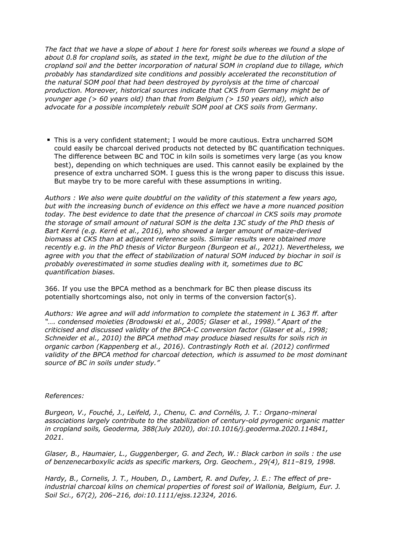*The fact that we have a slope of about 1 here for forest soils whereas we found a slope of about 0.8 for cropland soils, as stated in the text, might be due to the dilution of the cropland soil and the better incorporation of natural SOM in cropland due to tillage, which probably has standardized site conditions and possibly accelerated the reconstitution of the natural SOM pool that had been destroyed by pyrolysis at the time of charcoal production. Moreover, historical sources indicate that CKS from Germany might be of younger age (> 60 years old) than that from Belgium (> 150 years old), which also advocate for a possible incompletely rebuilt SOM pool at CKS soils from Germany.*

This is a very confident statement; I would be more cautious. Extra uncharred SOM could easily be charcoal derived products not detected by BC quantification techniques. The difference between BC and TOC in kiln soils is sometimes very large (as you know best), depending on which techniques are used. This cannot easily be explained by the presence of extra uncharred SOM. I guess this is the wrong paper to discuss this issue. But maybe try to be more careful with these assumptions in writing.

*Authors : We also were quite doubtful on the validity of this statement a few years ago, but with the increasing bunch of evidence on this effect we have a more nuanced position today. The best evidence to date that the presence of charcoal in CKS soils may promote the storage of small amount of natural SOM is the delta 13C study of the PhD thesis of Bart Kerré (e.g. Kerré et al., 2016), who showed a larger amount of maize-derived biomass at CKS than at adjacent reference soils. Similar results were obtained more recently e.g. in the PhD thesis of Victor Burgeon (Burgeon et al., 2021). Nevertheless, we agree with you that the effect of stabilization of natural SOM induced by biochar in soil is probably overestimated in some studies dealing with it, sometimes due to BC quantification biases.*

366. If you use the BPCA method as a benchmark for BC then please discuss its potentially shortcomings also, not only in terms of the conversion factor(s).

*Authors: We agree and will add information to complete the statement in L 363 ff. after "…. condensed moieties (Brodowski et al., 2005; Glaser et al., 1998)." Apart of the criticised and discussed validity of the BPCA-C conversion factor (Glaser et al., 1998; Schneider et al., 2010) the BPCA method may produce biased results for soils rich in organic carbon (Kappenberg et al., 2016). Contrastingly Roth et al. (2012) confirmed validity of the BPCA method for charcoal detection, which is assumed to be most dominant source of BC in soils under study."* 

## *References:*

*Burgeon, V., Fouché, J., Leifeld, J., Chenu, C. and Cornélis, J. T.: Organo-mineral associations largely contribute to the stabilization of century-old pyrogenic organic matter in cropland soils, Geoderma, 388(July 2020), doi:10.1016/j.geoderma.2020.114841, 2021.*

*Glaser, B., Haumaier, L., Guggenberger, G. and Zech, W.: Black carbon in soils : the use of benzenecarboxylic acids as specific markers, Org. Geochem., 29(4), 811–819, 1998.*

*Hardy, B., Cornelis, J. T., Houben, D., Lambert, R. and Dufey, J. E.: The effect of preindustrial charcoal kilns on chemical properties of forest soil of Wallonia, Belgium, Eur. J. Soil Sci., 67(2), 206–216, doi:10.1111/ejss.12324, 2016.*